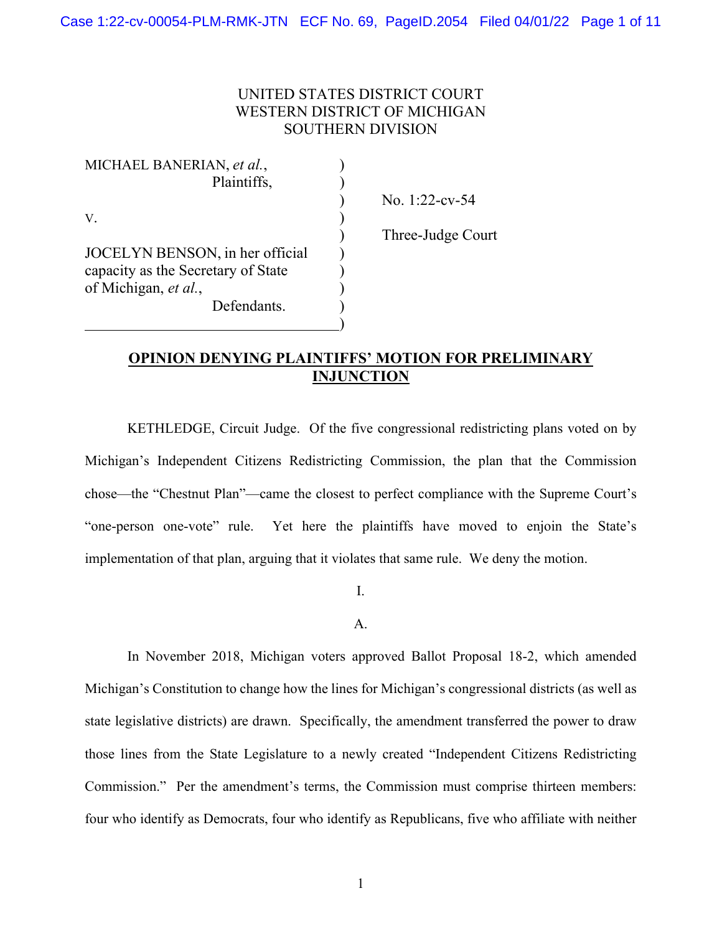# UNITED STATES DISTRICT COURT WESTERN DISTRICT OF MICHIGAN SOUTHERN DIVISION

| MICHAEL BANERIAN, et al.,          |  |
|------------------------------------|--|
| Plaintiffs,                        |  |
|                                    |  |
| V.                                 |  |
|                                    |  |
| JOCELYN BENSON, in her official    |  |
| capacity as the Secretary of State |  |
| of Michigan, et al.,               |  |
| Defendants.                        |  |
|                                    |  |

) No. 1:22-cv-54

) Three-Judge Court

# **OPINION DENYING PLAINTIFFS' MOTION FOR PRELIMINARY INJUNCTION**

 KETHLEDGE, Circuit Judge. Of the five congressional redistricting plans voted on by Michigan's Independent Citizens Redistricting Commission, the plan that the Commission chose—the "Chestnut Plan"—came the closest to perfect compliance with the Supreme Court's "one-person one-vote" rule. Yet here the plaintiffs have moved to enjoin the State's implementation of that plan, arguing that it violates that same rule. We deny the motion.

I.

A.

 In November 2018, Michigan voters approved Ballot Proposal 18-2, which amended Michigan's Constitution to change how the lines for Michigan's congressional districts (as well as state legislative districts) are drawn. Specifically, the amendment transferred the power to draw those lines from the State Legislature to a newly created "Independent Citizens Redistricting Commission." Per the amendment's terms, the Commission must comprise thirteen members: four who identify as Democrats, four who identify as Republicans, five who affiliate with neither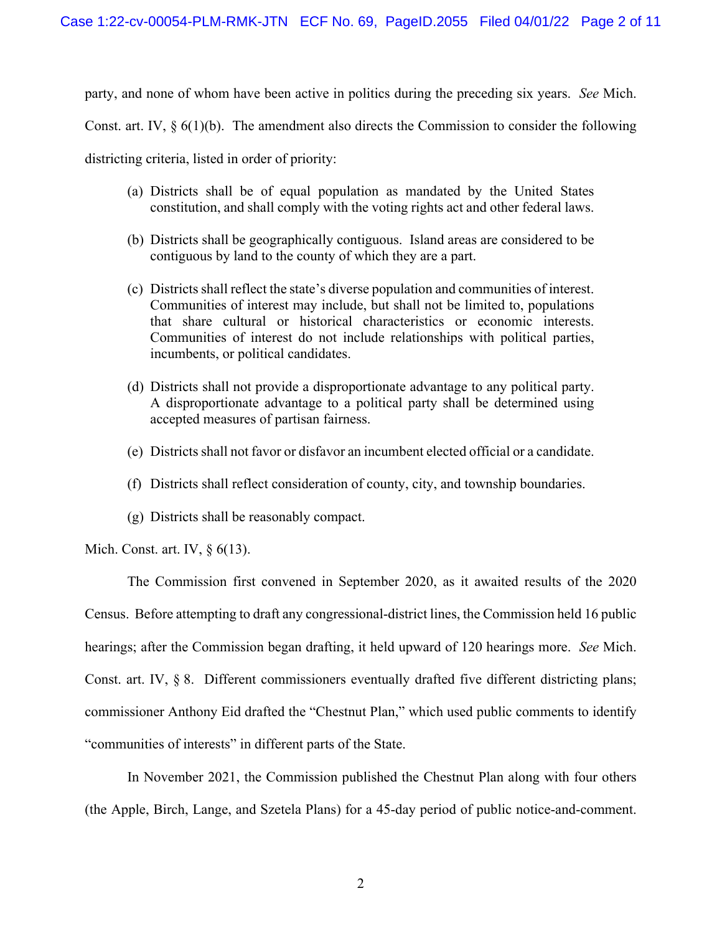party, and none of whom have been active in politics during the preceding six years. *See* Mich.

Const. art. IV,  $\S 6(1)(b)$ . The amendment also directs the Commission to consider the following

districting criteria, listed in order of priority:

- (a) Districts shall be of equal population as mandated by the United States constitution, and shall comply with the voting rights act and other federal laws.
- (b) Districts shall be geographically contiguous. Island areas are considered to be contiguous by land to the county of which they are a part.
- (c) Districts shall reflect the state's diverse population and communities of interest. Communities of interest may include, but shall not be limited to, populations that share cultural or historical characteristics or economic interests. Communities of interest do not include relationships with political parties, incumbents, or political candidates.
- (d) Districts shall not provide a disproportionate advantage to any political party. A disproportionate advantage to a political party shall be determined using accepted measures of partisan fairness.
- (e) Districts shall not favor or disfavor an incumbent elected official or a candidate.
- (f) Districts shall reflect consideration of county, city, and township boundaries.
- (g) Districts shall be reasonably compact.

Mich. Const. art. IV, § 6(13).

 The Commission first convened in September 2020, as it awaited results of the 2020 Census. Before attempting to draft any congressional-district lines, the Commission held 16 public hearings; after the Commission began drafting, it held upward of 120 hearings more. *See* Mich. Const. art. IV, § 8. Different commissioners eventually drafted five different districting plans; commissioner Anthony Eid drafted the "Chestnut Plan," which used public comments to identify "communities of interests" in different parts of the State.

In November 2021, the Commission published the Chestnut Plan along with four others (the Apple, Birch, Lange, and Szetela Plans) for a 45-day period of public notice-and-comment.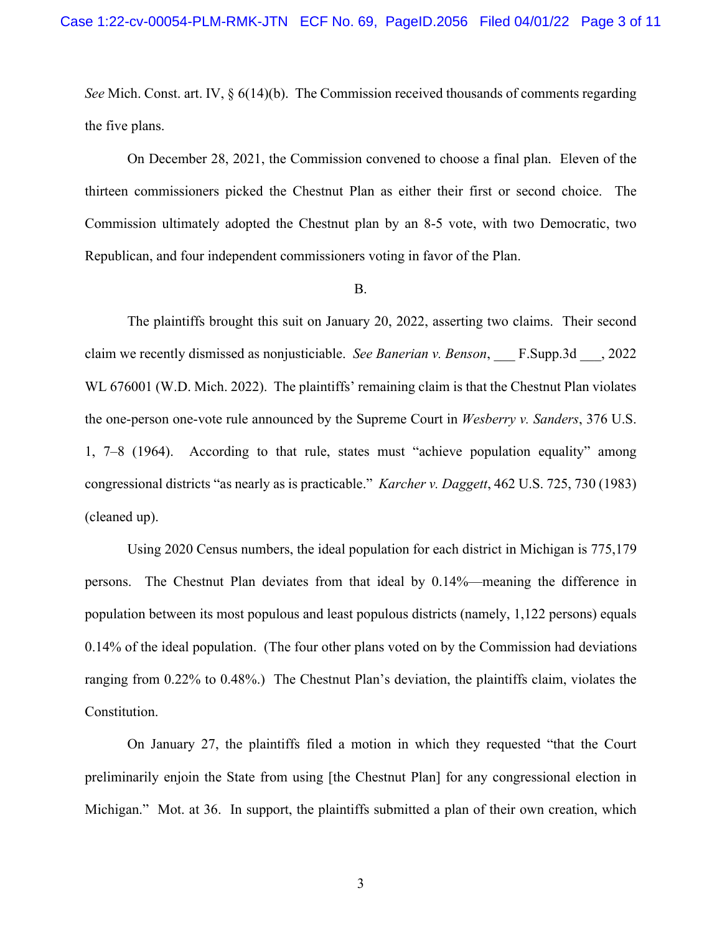*See* Mich. Const. art. IV,  $\S 6(14)(b)$ . The Commission received thousands of comments regarding the five plans.

On December 28, 2021, the Commission convened to choose a final plan. Eleven of the thirteen commissioners picked the Chestnut Plan as either their first or second choice. The Commission ultimately adopted the Chestnut plan by an 8-5 vote, with two Democratic, two Republican, and four independent commissioners voting in favor of the Plan.

#### B.

The plaintiffs brought this suit on January 20, 2022, asserting two claims. Their second claim we recently dismissed as nonjusticiable. *See Banerian v. Benson*, \_\_\_ F.Supp.3d \_\_\_, 2022 WL 676001 (W.D. Mich. 2022). The plaintiffs' remaining claim is that the Chestnut Plan violates the one-person one-vote rule announced by the Supreme Court in *Wesberry v. Sanders*, 376 U.S. 1, 7–8 (1964). According to that rule, states must "achieve population equality" among congressional districts "as nearly as is practicable." *Karcher v. Daggett*, 462 U.S. 725, 730 (1983) (cleaned up).

Using 2020 Census numbers, the ideal population for each district in Michigan is 775,179 persons. The Chestnut Plan deviates from that ideal by 0.14%—meaning the difference in population between its most populous and least populous districts (namely, 1,122 persons) equals 0.14% of the ideal population. (The four other plans voted on by the Commission had deviations ranging from 0.22% to 0.48%.) The Chestnut Plan's deviation, the plaintiffs claim, violates the Constitution.

On January 27, the plaintiffs filed a motion in which they requested "that the Court preliminarily enjoin the State from using [the Chestnut Plan] for any congressional election in Michigan." Mot. at 36. In support, the plaintiffs submitted a plan of their own creation, which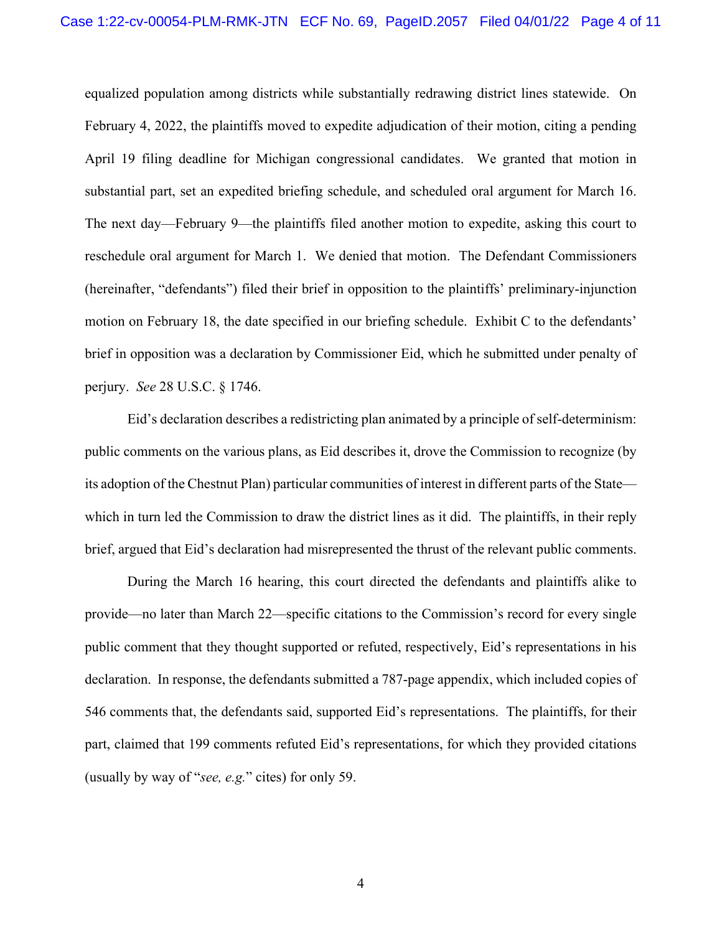equalized population among districts while substantially redrawing district lines statewide. On February 4, 2022, the plaintiffs moved to expedite adjudication of their motion, citing a pending April 19 filing deadline for Michigan congressional candidates. We granted that motion in substantial part, set an expedited briefing schedule, and scheduled oral argument for March 16. The next day—February 9—the plaintiffs filed another motion to expedite, asking this court to reschedule oral argument for March 1. We denied that motion. The Defendant Commissioners (hereinafter, "defendants") filed their brief in opposition to the plaintiffs' preliminary-injunction motion on February 18, the date specified in our briefing schedule. Exhibit C to the defendants' brief in opposition was a declaration by Commissioner Eid, which he submitted under penalty of perjury. *See* 28 U.S.C. § 1746.

Eid's declaration describes a redistricting plan animated by a principle of self-determinism: public comments on the various plans, as Eid describes it, drove the Commission to recognize (by its adoption of the Chestnut Plan) particular communities of interest in different parts of the State which in turn led the Commission to draw the district lines as it did. The plaintiffs, in their reply brief, argued that Eid's declaration had misrepresented the thrust of the relevant public comments.

During the March 16 hearing, this court directed the defendants and plaintiffs alike to provide—no later than March 22—specific citations to the Commission's record for every single public comment that they thought supported or refuted, respectively, Eid's representations in his declaration. In response, the defendants submitted a 787-page appendix, which included copies of 546 comments that, the defendants said, supported Eid's representations. The plaintiffs, for their part, claimed that 199 comments refuted Eid's representations, for which they provided citations (usually by way of "*see, e.g.*" cites) for only 59.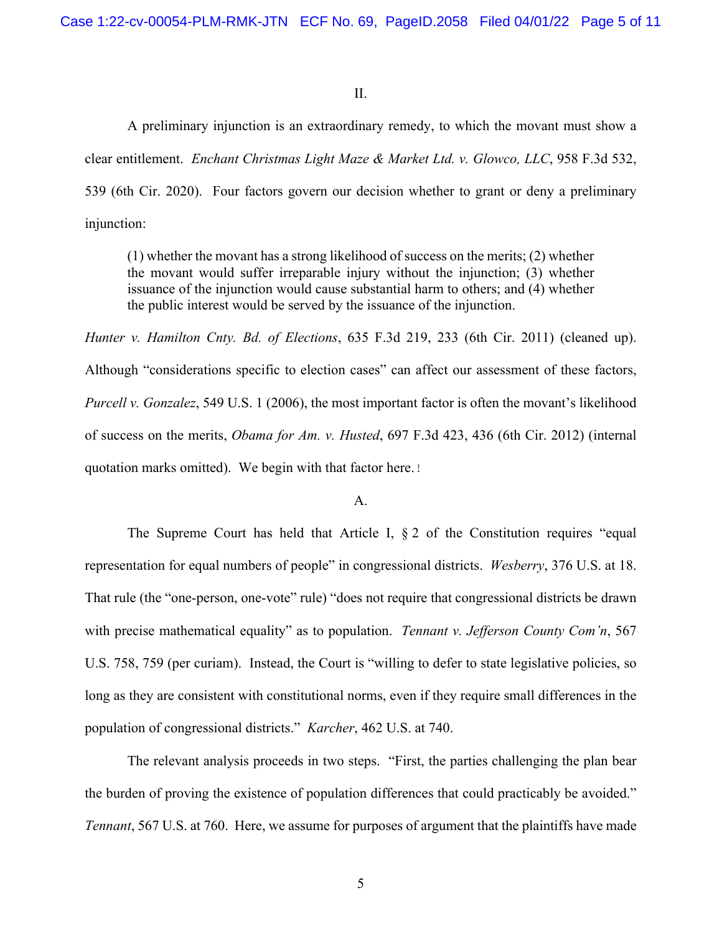### II.

A preliminary injunction is an extraordinary remedy, to which the movant must show a clear entitlement. *Enchant Christmas Light Maze & Market Ltd. v. Glowco, LLC*, 958 F.3d 532, 539 (6th Cir. 2020). Four factors govern our decision whether to grant or deny a preliminary injunction:

(1) whether the movant has a strong likelihood of success on the merits; (2) whether the movant would suffer irreparable injury without the injunction; (3) whether issuance of the injunction would cause substantial harm to others; and (4) whether the public interest would be served by the issuance of the injunction.

*Hunter v. Hamilton Cnty. Bd. of Elections*, 635 F.3d 219, 233 (6th Cir. 2011) (cleaned up). Although "considerations specific to election cases" can affect our assessment of these factors, *Purcell v. Gonzalez*, 549 U.S. 1 (2006), the most important factor is often the movant's likelihood of success on the merits, *Obama for Am. v. Husted*, 697 F.3d 423, 436 (6th Cir. 2012) (internal quotation marks omitted). We begin with that factor here.

### A.

 The Supreme Court has held that Article I, § 2 of the Constitution requires "equal representation for equal numbers of people" in congressional districts. *Wesberry*, 376 U.S. at 18. That rule (the "one-person, one-vote" rule) "does not require that congressional districts be drawn with precise mathematical equality" as to population. *Tennant v. Jefferson County Com'n*, 567 U.S. 758, 759 (per curiam). Instead, the Court is "willing to defer to state legislative policies, so long as they are consistent with constitutional norms, even if they require small differences in the population of congressional districts." *Karcher*, 462 U.S. at 740.

 The relevant analysis proceeds in two steps. "First, the parties challenging the plan bear the burden of proving the existence of population differences that could practicably be avoided." *Tennant*, 567 U.S. at 760. Here, we assume for purposes of argument that the plaintiffs have made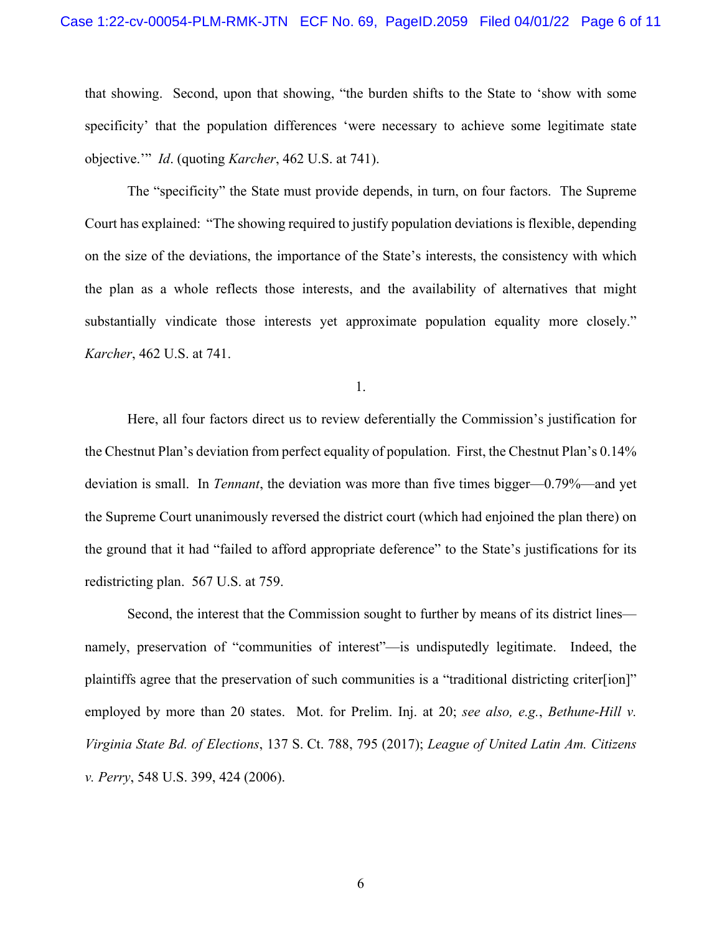that showing. Second, upon that showing, "the burden shifts to the State to 'show with some specificity' that the population differences 'were necessary to achieve some legitimate state objective.'" *Id*. (quoting *Karcher*, 462 U.S. at 741).

 The "specificity" the State must provide depends, in turn, on four factors. The Supreme Court has explained: "The showing required to justify population deviations is flexible, depending on the size of the deviations, the importance of the State's interests, the consistency with which the plan as a whole reflects those interests, and the availability of alternatives that might substantially vindicate those interests yet approximate population equality more closely." *Karcher*, 462 U.S. at 741.

1.

Here, all four factors direct us to review deferentially the Commission's justification for the Chestnut Plan's deviation from perfect equality of population. First, the Chestnut Plan's 0.14% deviation is small. In *Tennant*, the deviation was more than five times bigger—0.79%—and yet the Supreme Court unanimously reversed the district court (which had enjoined the plan there) on the ground that it had "failed to afford appropriate deference" to the State's justifications for its redistricting plan. 567 U.S. at 759.

Second, the interest that the Commission sought to further by means of its district lines namely, preservation of "communities of interest"—is undisputedly legitimate. Indeed, the plaintiffs agree that the preservation of such communities is a "traditional districting criter[ion]" employed by more than 20 states. Mot. for Prelim. Inj. at 20; *see also, e.g.*, *Bethune-Hill v. Virginia State Bd. of Elections*, 137 S. Ct. 788, 795 (2017); *League of United Latin Am. Citizens v. Perry*, 548 U.S. 399, 424 (2006).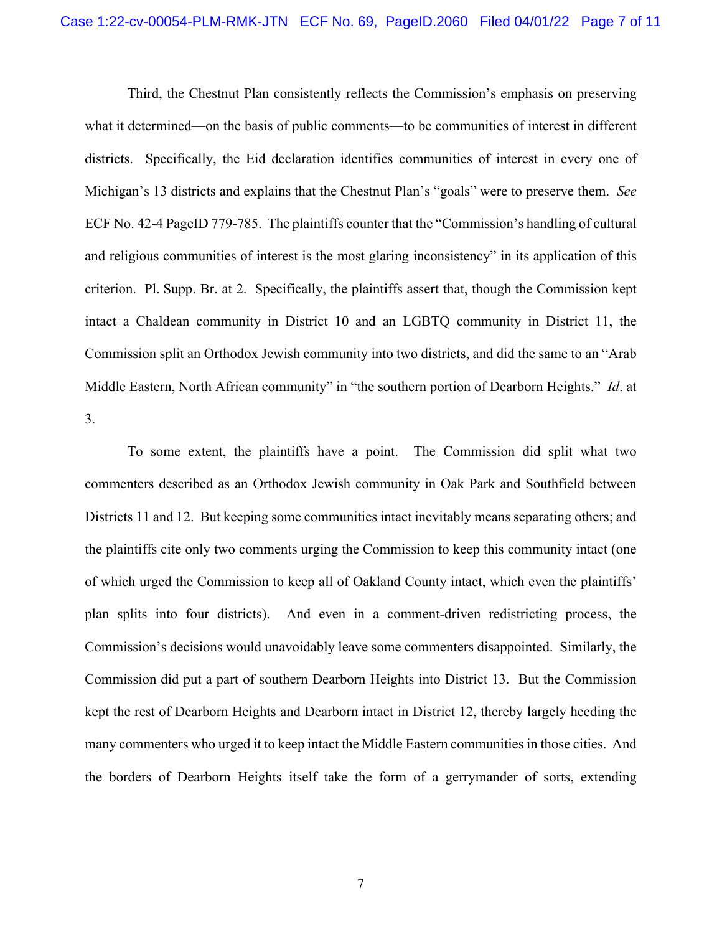Third, the Chestnut Plan consistently reflects the Commission's emphasis on preserving what it determined—on the basis of public comments—to be communities of interest in different districts. Specifically, the Eid declaration identifies communities of interest in every one of Michigan's 13 districts and explains that the Chestnut Plan's "goals" were to preserve them. *See*  ECF No. 42-4 PageID 779-785. The plaintiffs counter that the "Commission's handling of cultural and religious communities of interest is the most glaring inconsistency" in its application of this criterion. Pl. Supp. Br. at 2. Specifically, the plaintiffs assert that, though the Commission kept intact a Chaldean community in District 10 and an LGBTQ community in District 11, the Commission split an Orthodox Jewish community into two districts, and did the same to an "Arab Middle Eastern, North African community" in "the southern portion of Dearborn Heights." *Id*. at 3.

To some extent, the plaintiffs have a point. The Commission did split what two commenters described as an Orthodox Jewish community in Oak Park and Southfield between Districts 11 and 12. But keeping some communities intact inevitably means separating others; and the plaintiffs cite only two comments urging the Commission to keep this community intact (one of which urged the Commission to keep all of Oakland County intact, which even the plaintiffs' plan splits into four districts). And even in a comment-driven redistricting process, the Commission's decisions would unavoidably leave some commenters disappointed. Similarly, the Commission did put a part of southern Dearborn Heights into District 13. But the Commission kept the rest of Dearborn Heights and Dearborn intact in District 12, thereby largely heeding the many commenters who urged it to keep intact the Middle Eastern communities in those cities. And the borders of Dearborn Heights itself take the form of a gerrymander of sorts, extending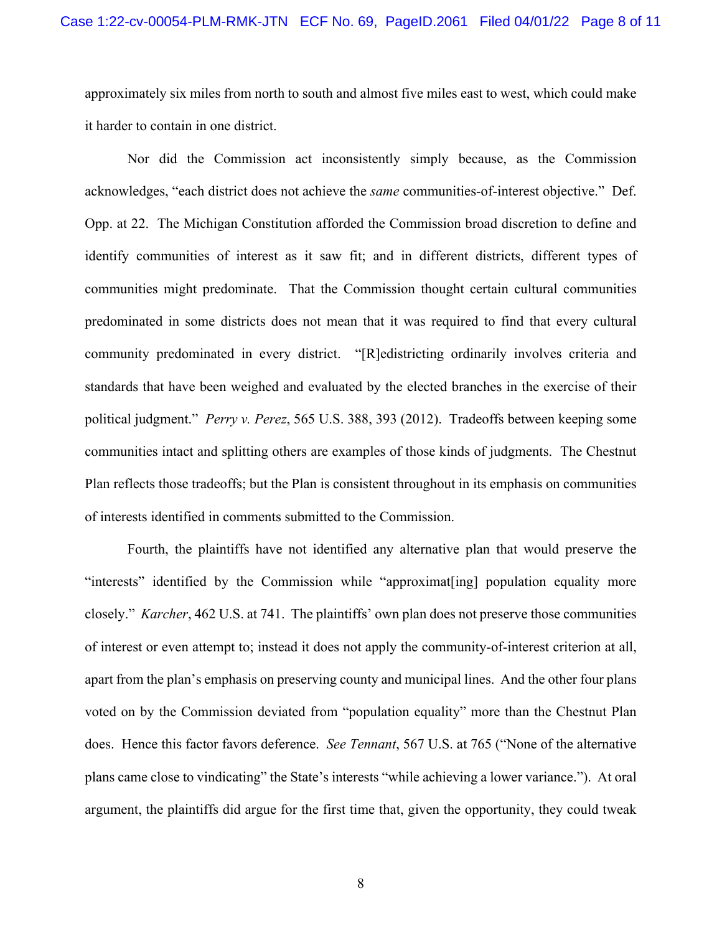approximately six miles from north to south and almost five miles east to west, which could make it harder to contain in one district.

Nor did the Commission act inconsistently simply because, as the Commission acknowledges, "each district does not achieve the *same* communities-of-interest objective." Def. Opp. at 22. The Michigan Constitution afforded the Commission broad discretion to define and identify communities of interest as it saw fit; and in different districts, different types of communities might predominate. That the Commission thought certain cultural communities predominated in some districts does not mean that it was required to find that every cultural community predominated in every district. "[R]edistricting ordinarily involves criteria and standards that have been weighed and evaluated by the elected branches in the exercise of their political judgment." *Perry v. Perez*, 565 U.S. 388, 393 (2012). Tradeoffs between keeping some communities intact and splitting others are examples of those kinds of judgments. The Chestnut Plan reflects those tradeoffs; but the Plan is consistent throughout in its emphasis on communities of interests identified in comments submitted to the Commission.

Fourth, the plaintiffs have not identified any alternative plan that would preserve the "interests" identified by the Commission while "approximat[ing] population equality more closely." *Karcher*, 462 U.S. at 741. The plaintiffs' own plan does not preserve those communities of interest or even attempt to; instead it does not apply the community-of-interest criterion at all, apart from the plan's emphasis on preserving county and municipal lines. And the other four plans voted on by the Commission deviated from "population equality" more than the Chestnut Plan does. Hence this factor favors deference. *See Tennant*, 567 U.S. at 765 ("None of the alternative plans came close to vindicating" the State's interests "while achieving a lower variance."). At oral argument, the plaintiffs did argue for the first time that, given the opportunity, they could tweak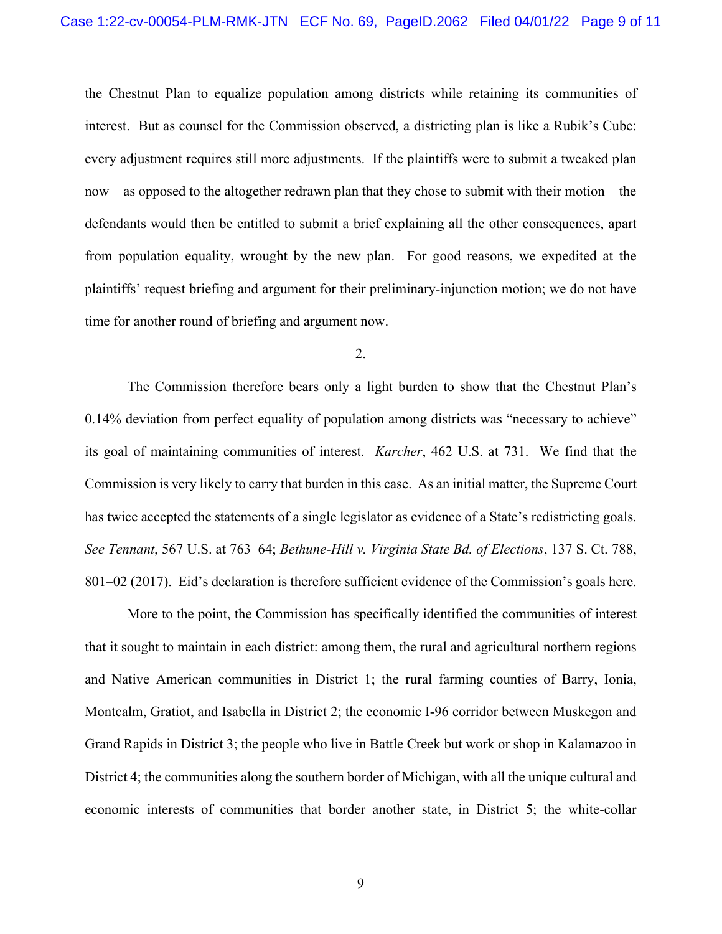the Chestnut Plan to equalize population among districts while retaining its communities of interest. But as counsel for the Commission observed, a districting plan is like a Rubik's Cube: every adjustment requires still more adjustments. If the plaintiffs were to submit a tweaked plan now—as opposed to the altogether redrawn plan that they chose to submit with their motion—the defendants would then be entitled to submit a brief explaining all the other consequences, apart from population equality, wrought by the new plan. For good reasons, we expedited at the plaintiffs' request briefing and argument for their preliminary-injunction motion; we do not have time for another round of briefing and argument now.

### 2.

The Commission therefore bears only a light burden to show that the Chestnut Plan's 0.14% deviation from perfect equality of population among districts was "necessary to achieve" its goal of maintaining communities of interest. *Karcher*, 462 U.S. at 731. We find that the Commission is very likely to carry that burden in this case. As an initial matter, the Supreme Court has twice accepted the statements of a single legislator as evidence of a State's redistricting goals. *See Tennant*, 567 U.S. at 763–64; *Bethune-Hill v. Virginia State Bd. of Elections*, 137 S. Ct. 788, 801–02 (2017). Eid's declaration is therefore sufficient evidence of the Commission's goals here.

More to the point, the Commission has specifically identified the communities of interest that it sought to maintain in each district: among them, the rural and agricultural northern regions and Native American communities in District 1; the rural farming counties of Barry, Ionia, Montcalm, Gratiot, and Isabella in District 2; the economic I-96 corridor between Muskegon and Grand Rapids in District 3; the people who live in Battle Creek but work or shop in Kalamazoo in District 4; the communities along the southern border of Michigan, with all the unique cultural and economic interests of communities that border another state, in District 5; the white-collar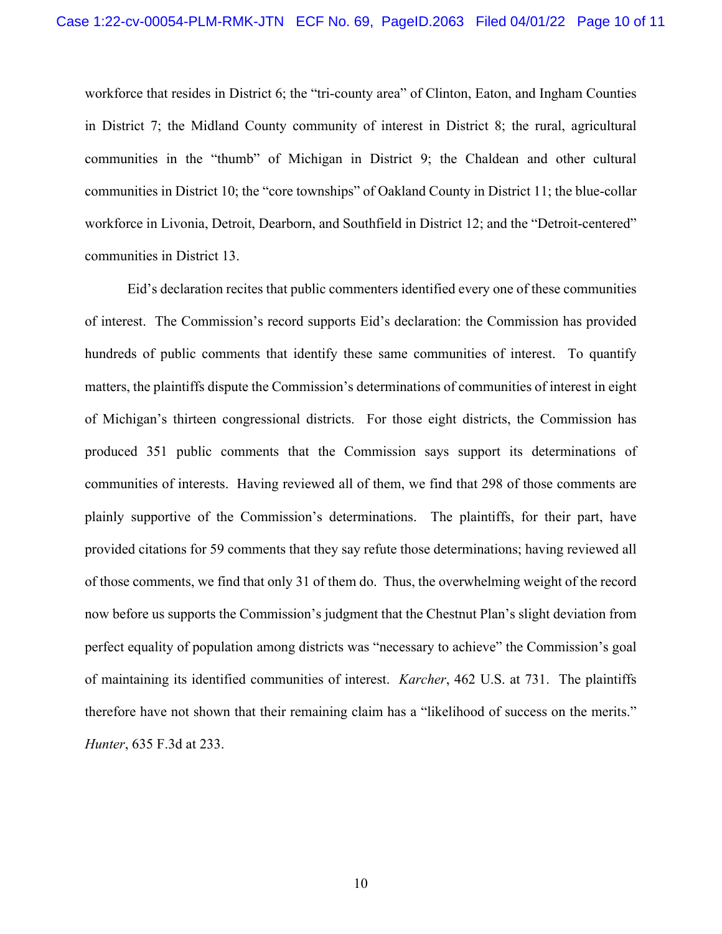workforce that resides in District 6; the "tri-county area" of Clinton, Eaton, and Ingham Counties in District 7; the Midland County community of interest in District 8; the rural, agricultural communities in the "thumb" of Michigan in District 9; the Chaldean and other cultural communities in District 10; the "core townships" of Oakland County in District 11; the blue-collar workforce in Livonia, Detroit, Dearborn, and Southfield in District 12; and the "Detroit-centered" communities in District 13.

Eid's declaration recites that public commenters identified every one of these communities of interest. The Commission's record supports Eid's declaration: the Commission has provided hundreds of public comments that identify these same communities of interest. To quantify matters, the plaintiffs dispute the Commission's determinations of communities of interest in eight of Michigan's thirteen congressional districts. For those eight districts, the Commission has produced 351 public comments that the Commission says support its determinations of communities of interests. Having reviewed all of them, we find that 298 of those comments are plainly supportive of the Commission's determinations. The plaintiffs, for their part, have provided citations for 59 comments that they say refute those determinations; having reviewed all of those comments, we find that only 31 of them do. Thus, the overwhelming weight of the record now before us supports the Commission's judgment that the Chestnut Plan's slight deviation from perfect equality of population among districts was "necessary to achieve" the Commission's goal of maintaining its identified communities of interest. *Karcher*, 462 U.S. at 731. The plaintiffs therefore have not shown that their remaining claim has a "likelihood of success on the merits." *Hunter*, 635 F.3d at 233.